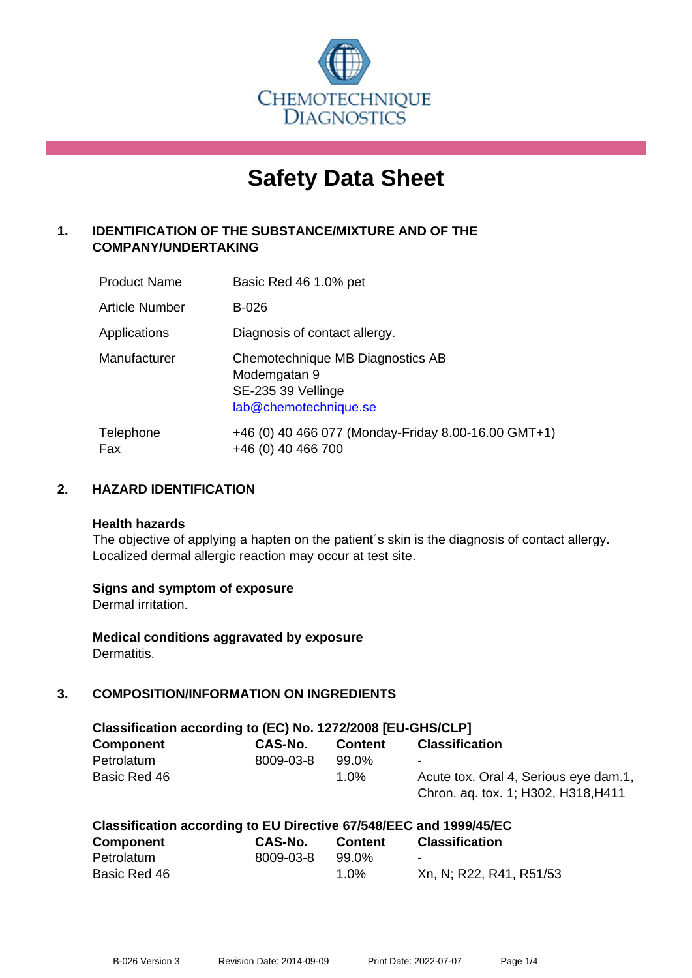

# **Safety Data Sheet**

# **1. IDENTIFICATION OF THE SUBSTANCE/MIXTURE AND OF THE COMPANY/UNDERTAKING**

| <b>Product Name</b>   | Basic Red 46 1.0% pet                                                                           |
|-----------------------|-------------------------------------------------------------------------------------------------|
| <b>Article Number</b> | B-026                                                                                           |
| Applications          | Diagnosis of contact allergy.                                                                   |
| Manufacturer          | Chemotechnique MB Diagnostics AB<br>Modemgatan 9<br>SE-235 39 Vellinge<br>lab@chemotechnique.se |
| Telephone<br>Fax      | +46 (0) 40 466 077 (Monday-Friday 8.00-16.00 GMT+1)<br>+46 (0) 40 466 700                       |

## **2. HAZARD IDENTIFICATION**

#### **Health hazards**

The objective of applying a hapten on the patient's skin is the diagnosis of contact allergy. Localized dermal allergic reaction may occur at test site.

## **Signs and symptom of exposure**

Dermal irritation.

**Medical conditions aggravated by exposure** Dermatitis.

# **3. COMPOSITION/INFORMATION ON INGREDIENTS**

| Classification according to (EC) No. 1272/2008 [EU-GHS/CLP] |           |                |                                                                              |  |
|-------------------------------------------------------------|-----------|----------------|------------------------------------------------------------------------------|--|
| <b>Component</b>                                            | CAS-No.   | <b>Content</b> | <b>Classification</b>                                                        |  |
| Petrolatum                                                  | 8009-03-8 | 99.0%          |                                                                              |  |
| Basic Red 46                                                |           | 1.0%           | Acute tox. Oral 4, Serious eye dam.1,<br>Chron. aq. tox. 1; H302, H318, H411 |  |

| Classification according to EU Directive 67/548/EEC and 1999/45/EC |           |                |                         |  |
|--------------------------------------------------------------------|-----------|----------------|-------------------------|--|
| Component                                                          | CAS-No.   | <b>Content</b> | <b>Classification</b>   |  |
| Petrolatum                                                         | 8009-03-8 | 99.0%          | $\sim$                  |  |
| Basic Red 46                                                       |           | 1.0%           | Xn, N; R22, R41, R51/53 |  |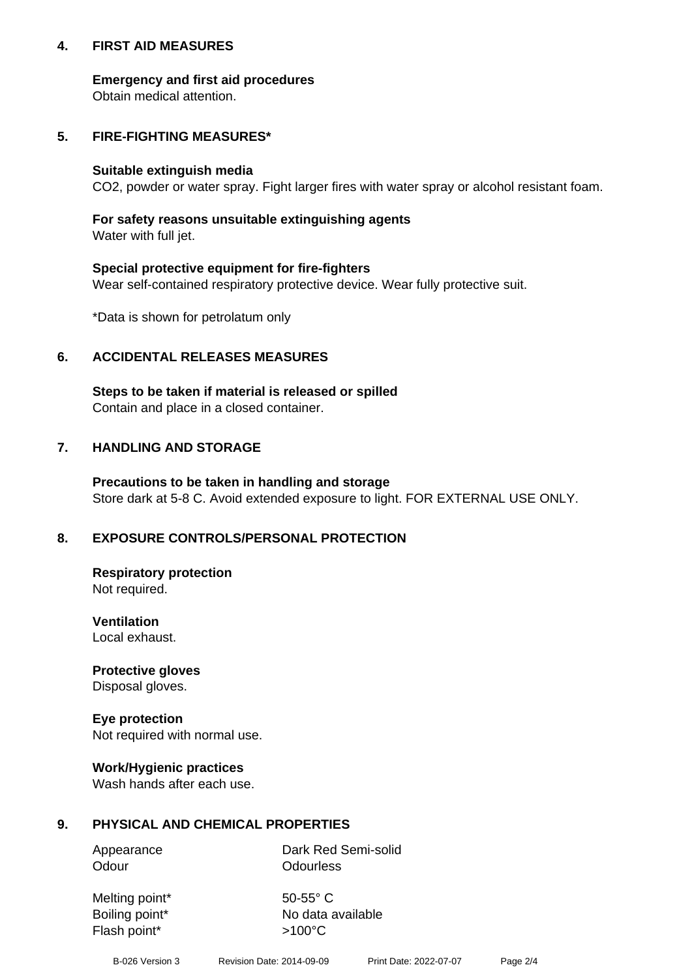## **4. FIRST AID MEASURES**

## **Emergency and first aid procedures**

Obtain medical attention.

# **5. FIRE-FIGHTING MEASURES\***

#### **Suitable extinguish media**

CO2, powder or water spray. Fight larger fires with water spray or alcohol resistant foam.

# **For safety reasons unsuitable extinguishing agents**

Water with full jet.

## **Special protective equipment for fire-fighters**

Wear self-contained respiratory protective device. Wear fully protective suit.

\*Data is shown for petrolatum only

# **6. ACCIDENTAL RELEASES MEASURES**

**Steps to be taken if material is released or spilled** Contain and place in a closed container.

# **7. HANDLING AND STORAGE**

**Precautions to be taken in handling and storage** Store dark at 5-8 C. Avoid extended exposure to light. FOR EXTERNAL USE ONLY.

# **8. EXPOSURE CONTROLS/PERSONAL PROTECTION**

**Respiratory protection** Not required.

**Ventilation** Local exhaust.

**Protective gloves** Disposal gloves.

#### **Eye protection** Not required with normal use.

## **Work/Hygienic practices**

Wash hands after each use.

## **9. PHYSICAL AND CHEMICAL PROPERTIES**

Odour **Odourless** 

Appearance Dark Red Semi-solid

Melting point\* 50-55° C Flash point\*  $>100^{\circ}$ C

Boiling point\* No data available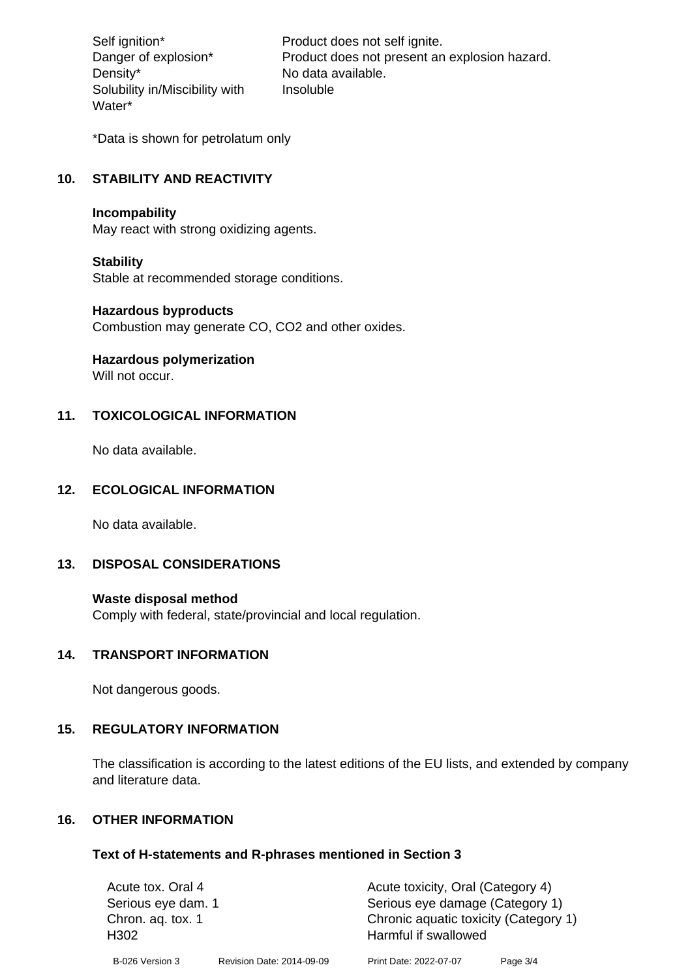Density\* No data available. Solubility in/Miscibility with Water\*

Self ignition\* Product does not self ignite. Danger of explosion\* Product does not present an explosion hazard. Insoluble

\*Data is shown for petrolatum only

# **10. STABILITY AND REACTIVITY**

#### **Incompability**

May react with strong oxidizing agents.

#### **Stability**

Stable at recommended storage conditions.

## **Hazardous byproducts**

Combustion may generate CO, CO2 and other oxides.

**Hazardous polymerization**

Will not occur.

## **11. TOXICOLOGICAL INFORMATION**

No data available.

## **12. ECOLOGICAL INFORMATION**

No data available.

## **13. DISPOSAL CONSIDERATIONS**

#### **Waste disposal method**

Comply with federal, state/provincial and local regulation.

#### **14. TRANSPORT INFORMATION**

Not dangerous goods.

## **15. REGULATORY INFORMATION**

The classification is according to the latest editions of the EU lists, and extended by company and literature data.

#### **16. OTHER INFORMATION**

#### **Text of H-statements and R-phrases mentioned in Section 3**

| Acute tox. Oral 4<br>Serious eye dam. 1<br>Chron. ag. tox. 1<br>H <sub>302</sub> |  | Acute toxicity, Oral (Category 4)<br>Serious eye damage (Category 1) |                           |                        |
|----------------------------------------------------------------------------------|--|----------------------------------------------------------------------|---------------------------|------------------------|
|                                                                                  |  |                                                                      |                           |                        |
|                                                                                  |  | B-026 Version 3                                                      | Revision Date: 2014-09-09 | Print Date: 2022-07-07 |